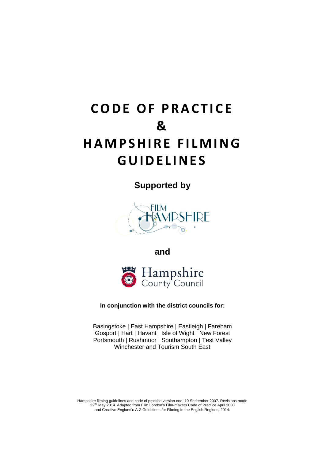# **CODE OF PRACTICE & H A M P S H I R E F I L M I N G G U I D E L I N E S**

**Supported by**



**and** 



**In conjunction with the district councils for:**

Basingstoke | East Hampshire | Eastleigh | Fareham Gosport | Hart | Havant | Isle of Wight | New Forest Portsmouth | Rushmoor | Southampton | Test Valley Winchester and Tourism South East

Hampshire filming guidelines and code of practice version one, 10 September 2007. Revisions made 22<sup>nd</sup> May 2014. Adapted from Film London's Film-makers Code of Practice April 2000 and Creative England's A-Z Guidelines for Filming in the English Regions, 2014.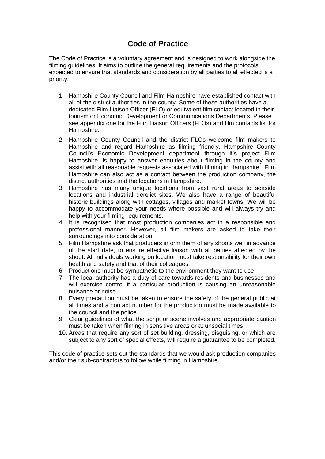## **Code of Practice**

The Code of Practice is a voluntary agreement and is designed to work alongside the filming guidelines. It aims to outline the general requirements and the protocols expected to ensure that standards and consideration by all parties to all effected is a priority.

- 1. Hampshire County Council and Film Hampshire have established contact with all of the district authorities in the county. Some of these authorities have a dedicated Film Liaison Officer (FLO) or equivalent film contact located in their tourism or Economic Development or Communications Departments. Please see appendix one for the Film Liaison Officers (FLOs) and film contacts list for Hampshire.
- 2. Hampshire County Council and the district FLOs welcome film makers to Hampshire and regard Hampshire as filming friendly. Hampshire County Council's Economic Development department through it's project Film Hampshire, is happy to answer enquiries about filming in the county and assist with all reasonable requests associated with filming in Hampshire. Film Hampshire can also act as a contact between the production company, the district authorities and the locations in Hampshire.
- 3. Hampshire has many unique locations from vast rural areas to seaside locations and industrial derelict sites. We also have a range of beautiful historic buildings along with cottages, villages and market towns. We will be happy to accommodate your needs where possible and will always try and help with your filming requirements.
- 4. It is recognised that most production companies act in a responsible and professional manner. However, all film makers are asked to take their surroundings into consideration.
- 5. Film Hampshire ask that producers inform them of any shoots well in advance of the start date, to ensure effective liaison with all parties affected by the shoot. All individuals working on location must take responsibility for their own health and safety and that of their colleagues.
- 6. Productions must be sympathetic to the environment they want to use.
- 7. The local authority has a duty of care towards residents and businesses and will exercise control if a particular production is causing an unreasonable nuisance or noise.
- 8. Every precaution must be taken to ensure the safety of the general public at all times and a contact number for the production must be made available to the council and the police.
- 9. Clear guidelines of what the script or scene involves and appropriate caution must be taken when filming in sensitive areas or at unsocial times
- 10. Areas that require any sort of set building, dressing, disguising, or which are subject to any sort of special effects, will require a guarantee to be completed.

This code of practice sets out the standards that we would ask production companies and/or their sub-contractors to follow while filming in Hampshire.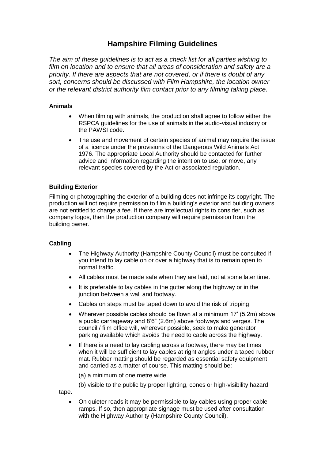### **Hampshire Filming Guidelines**

*The aim of these guidelines is to act as a check list for all parties wishing to film on location and to ensure that all areas of consideration and safety are a priority. If there are aspects that are not covered, or if there is doubt of any sort, concerns should be discussed with Film Hampshire, the location owner or the relevant district authority film contact prior to any filming taking place.*

#### **Animals**

- When filming with animals, the production shall agree to follow either the RSPCA guidelines for the use of animals in the audio-visual industry or the PAWSI code.
- The use and movement of certain species of animal may require the issue of a licence under the provisions of the Dangerous Wild Animals Act 1976. The appropriate Local Authority should be contacted for further advice and information regarding the intention to use, or move, any relevant species covered by the Act or associated regulation.

#### **Building Exterior**

Filming or photographing the exterior of a building does not infringe its copyright. The production will not require permission to film a building's exterior and building owners are not entitled to charge a fee. If there are intellectual rights to consider, such as company logos, then the production company will require permission from the building owner.

#### **Cabling**

- The Highway Authority (Hampshire County Council) must be consulted if you intend to lay cable on or over a highway that is to remain open to normal traffic.
- All cables must be made safe when they are laid, not at some later time.
- It is preferable to lay cables in the gutter along the highway or in the junction between a wall and footway.
- Cables on steps must be taped down to avoid the risk of tripping.
- Wherever possible cables should be flown at a minimum 17' (5.2m) above a public carriageway and 8'6" (2.6m) above footways and verges. The council / film office will, wherever possible, seek to make generator parking available which avoids the need to cable across the highway.
- If there is a need to lay cabling across a footway, there may be times when it will be sufficient to lay cables at right angles under a taped rubber mat. Rubber matting should be regarded as essential safety equipment and carried as a matter of course. This matting should be:
	- (a) a minimum of one metre wide.
	- (b) visible to the public by proper lighting, cones or high-visibility hazard

tape.

 On quieter roads it may be permissible to lay cables using proper cable ramps. If so, then appropriate signage must be used after consultation with the Highway Authority (Hampshire County Council).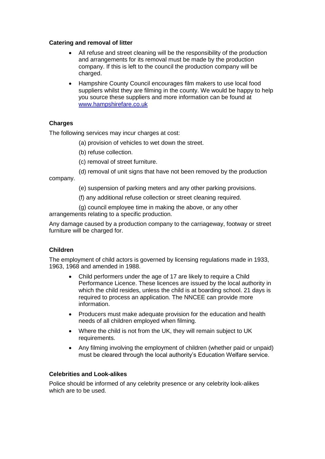#### **Catering and removal of litter**

- All refuse and street cleaning will be the responsibility of the production and arrangements for its removal must be made by the production company. If this is left to the council the production company will be charged.
- Hampshire County Council encourages film makers to use local food suppliers whilst they are filming in the county. We would be happy to help you source these suppliers and more information can be found at [www.hampshirefare.co.uk](http://www.hampshirefare.co.uk/)

#### **Charges**

The following services may incur charges at cost:

- (a) provision of vehicles to wet down the street.
- (b) refuse collection.
- (c) removal of street furniture.
- (d) removal of unit signs that have not been removed by the production

company.

- (e) suspension of parking meters and any other parking provisions.
- (f) any additional refuse collection or street cleaning required.
- (g) council employee time in making the above, or any other arrangements relating to a specific production.

Any damage caused by a production company to the carriageway, footway or street furniture will be charged for.

#### **Children**

The employment of child actors is governed by licensing regulations made in 1933, 1963, 1968 and amended in 1988.

- Child performers under the age of 17 are likely to require a Child Performance Licence. These licences are issued by the local authority in which the child resides, unless the child is at boarding school. 21 days is required to process an application. The NNCEE can provide more information.
- Producers must make adequate provision for the education and health needs of all children employed when filming.
- Where the child is not from the UK, they will remain subject to UK requirements.
- Any filming involving the employment of children (whether paid or unpaid) must be cleared through the local authority's Education Welfare service.

#### **Celebrities and Look-alikes**

Police should be informed of any celebrity presence or any celebrity look-alikes which are to be used.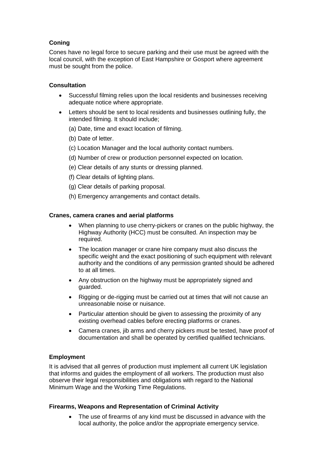#### **Coning**

Cones have no legal force to secure parking and their use must be agreed with the local council, with the exception of East Hampshire or Gosport where agreement must be sought from the police.

#### **Consultation**

- Successful filming relies upon the local residents and businesses receiving adequate notice where appropriate.
- Letters should be sent to local residents and businesses outlining fully, the intended filming. It should include;
	- (a) Date, time and exact location of filming.
	- (b) Date of letter.
	- (c) Location Manager and the local authority contact numbers.
	- (d) Number of crew or production personnel expected on location.
	- (e) Clear details of any stunts or dressing planned.
	- (f) Clear details of lighting plans.
	- (g) Clear details of parking proposal.
	- (h) Emergency arrangements and contact details.

#### **Cranes, camera cranes and aerial platforms**

- When planning to use cherry-pickers or cranes on the public highway, the Highway Authority (HCC) must be consulted. An inspection may be required.
- The location manager or crane hire company must also discuss the specific weight and the exact positioning of such equipment with relevant authority and the conditions of any permission granted should be adhered to at all times.
- Any obstruction on the highway must be appropriately signed and guarded.
- Rigging or de-rigging must be carried out at times that will not cause an unreasonable noise or nuisance.
- Particular attention should be given to assessing the proximity of any existing overhead cables before erecting platforms or cranes.
- Camera cranes, jib arms and cherry pickers must be tested, have proof of documentation and shall be operated by certified qualified technicians.

#### **Employment**

It is advised that all genres of production must implement all current UK legislation that informs and guides the employment of all workers. The production must also observe their legal responsibilities and obligations with regard to the National Minimum Wage and the Working Time Regulations.

#### **Firearms, Weapons and Representation of Criminal Activity**

• The use of firearms of any kind must be discussed in advance with the local authority, the police and/or the appropriate emergency service.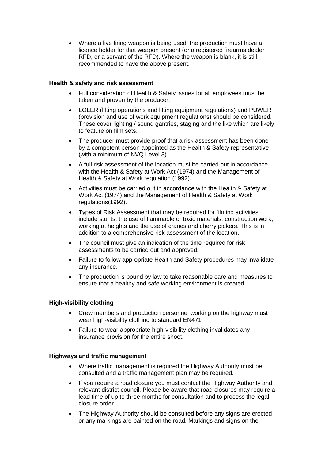• Where a live firing weapon is being used, the production must have a licence holder for that weapon present (or a registered firearms dealer RFD, or a servant of the RFD). Where the weapon is blank, it is still recommended to have the above present.

#### **Health & safety and risk assessment**

- Full consideration of Health & Safety issues for all employees must be taken and proven by the producer.
- LOLER (lifting operations and lifting equipment regulations) and PUWER (provision and use of work equipment regulations) should be considered. These cover lighting / sound gantries, staging and the like which are likely to feature on film sets.
- The producer must provide proof that a risk assessment has been done by a competent person appointed as the Health & Safety representative (with a minimum of NVQ Level 3)
- A full risk assessment of the location must be carried out in accordance with the Health & Safety at Work Act (1974) and the Management of Health & Safety at Work regulation (1992).
- Activities must be carried out in accordance with the Health & Safety at Work Act (1974) and the Management of Health & Safety at Work regulations(1992).
- Types of Risk Assessment that may be required for filming activities include stunts, the use of flammable or toxic materials, construction work, working at heights and the use of cranes and cherry pickers. This is in addition to a comprehensive risk assessment of the location.
- The council must give an indication of the time required for risk assessments to be carried out and approved.
- Failure to follow appropriate Health and Safety procedures may invalidate any insurance.
- The production is bound by law to take reasonable care and measures to ensure that a healthy and safe working environment is created.

#### **High-visibility clothing**

- Crew members and production personnel working on the highway must wear high-visibility clothing to standard EN471.
- Failure to wear appropriate high-visibility clothing invalidates any insurance provision for the entire shoot.

#### **Highways and traffic management**

- Where traffic management is required the Highway Authority must be consulted and a traffic management plan may be required.
- If you require a road closure you must contact the Highway Authority and relevant district council. Please be aware that road closures may require a lead time of up to three months for consultation and to process the legal closure order.
- The Highway Authority should be consulted before any signs are erected or any markings are painted on the road. Markings and signs on the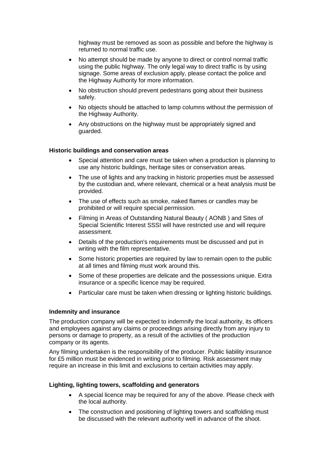highway must be removed as soon as possible and before the highway is returned to normal traffic use.

- No attempt should be made by anyone to direct or control normal traffic using the public highway. The only legal way to direct traffic is by using signage. Some areas of exclusion apply, please contact the police and the Highway Authority for more information.
- No obstruction should prevent pedestrians going about their business safely.
- No objects should be attached to lamp columns without the permission of the Highway Authority.
- Any obstructions on the highway must be appropriately signed and guarded.

#### **Historic buildings and conservation areas**

- Special attention and care must be taken when a production is planning to use any historic buildings, heritage sites or conservation areas.
- The use of lights and any tracking in historic properties must be assessed by the custodian and, where relevant, chemical or a heat analysis must be provided.
- The use of effects such as smoke, naked flames or candles may be prohibited or will require special permission.
- Filming in Areas of Outstanding Natural Beauty ( AONB ) and Sites of Special Scientific Interest SSSI will have restricted use and will require assessment.
- Details of the production's requirements must be discussed and put in writing with the film representative.
- Some historic properties are required by law to remain open to the public at all times and filming must work around this.
- Some of these properties are delicate and the possessions unique. Extra insurance or a specific licence may be required.
- Particular care must be taken when dressing or lighting historic buildings.

#### **Indemnity and insurance**

The production company will be expected to indemnify the local authority, its officers and employees against any claims or proceedings arising directly from any injury to persons or damage to property, as a result of the activities of the production company or its agents.

Any filming undertaken is the responsibility of the producer. Public liability insurance for £5 million must be evidenced in writing prior to filming. Risk assessment may require an increase in this limit and exclusions to certain activities may apply.

#### **Lighting, lighting towers, scaffolding and generators**

- A special licence may be required for any of the above. Please check with the local authority.
- The construction and positioning of lighting towers and scaffolding must be discussed with the relevant authority well in advance of the shoot.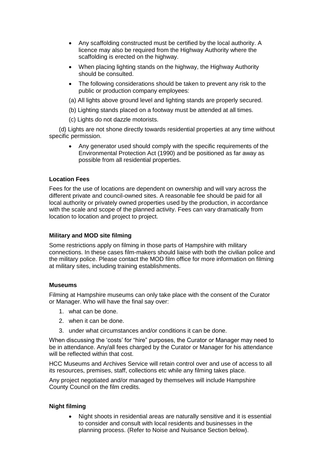- Any scaffolding constructed must be certified by the local authority. A licence may also be required from the Highway Authority where the scaffolding is erected on the highway.
- When placing lighting stands on the highway, the Highway Authority should be consulted.
- The following considerations should be taken to prevent any risk to the public or production company employees:
- (a) All lights above ground level and lighting stands are properly secured.
- (b) Lighting stands placed on a footway must be attended at all times.
- (c) Lights do not dazzle motorists.

(d) Lights are not shone directly towards residential properties at any time without specific permission.

 Any generator used should comply with the specific requirements of the Environmental Protection Act (1990) and be positioned as far away as possible from all residential properties.

#### **Location Fees**

Fees for the use of locations are dependent on ownership and will vary across the different private and council-owned sites. A reasonable fee should be paid for all local authority or privately owned properties used by the production, in accordance with the scale and scope of the planned activity. Fees can vary dramatically from location to location and project to project.

#### **Military and MOD site filming**

Some restrictions apply on filming in those parts of Hampshire with military connections. In these cases film-makers should liaise with both the civilian police and the military police. Please contact the MOD film office for more information on filming at military sites, including training establishments.

#### **Museums**

Filming at Hampshire museums can only take place with the consent of the Curator or Manager. Who will have the final say over:

- 1. what can be done.
- 2. when it can be done.
- 3. under what circumstances and/or conditions it can be done.

When discussing the 'costs' for "hire" purposes, the Curator or Manager may need to be in attendance. Any/all fees charged by the Curator or Manager for his attendance will be reflected within that cost.

HCC Museums and Archives Service will retain control over and use of access to all its resources, premises, staff, collections etc while any filming takes place.

Any project negotiated and/or managed by themselves will include Hampshire County Council on the film credits.

#### **Night filming**

 Night shoots in residential areas are naturally sensitive and it is essential to consider and consult with local residents and businesses in the planning process. (Refer to Noise and Nuisance Section below).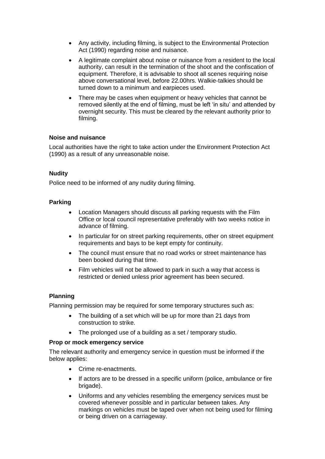- Any activity, including filming, is subject to the Environmental Protection Act (1990) regarding noise and nuisance.
- A legitimate complaint about noise or nuisance from a resident to the local authority, can result in the termination of the shoot and the confiscation of equipment. Therefore, it is advisable to shoot all scenes requiring noise above conversational level, before 22.00hrs. Walkie-talkies should be turned down to a minimum and earpieces used.
- There may be cases when equipment or heavy vehicles that cannot be removed silently at the end of filming, must be left 'in situ' and attended by overnight security. This must be cleared by the relevant authority prior to filming.

#### **Noise and nuisance**

Local authorities have the right to take action under the Environment Protection Act (1990) as a result of any unreasonable noise.

#### **Nudity**

Police need to be informed of any nudity during filming.

#### **Parking**

- Location Managers should discuss all parking requests with the Film Office or local council representative preferably with two weeks notice in advance of filming.
- In particular for on street parking requirements, other on street equipment requirements and bays to be kept empty for continuity.
- The council must ensure that no road works or street maintenance has been booked during that time.
- Film vehicles will not be allowed to park in such a way that access is restricted or denied unless prior agreement has been secured.

#### **Planning**

Planning permission may be required for some temporary structures such as:

- The building of a set which will be up for more than 21 days from construction to strike.
- The prolonged use of a building as a set / temporary studio.

#### **Prop or mock emergency service**

The relevant authority and emergency service in question must be informed if the below applies:

- Crime re-enactments.
- If actors are to be dressed in a specific uniform (police, ambulance or fire brigade).
- Uniforms and any vehicles resembling the emergency services must be covered whenever possible and in particular between takes. Any markings on vehicles must be taped over when not being used for filming or being driven on a carriageway.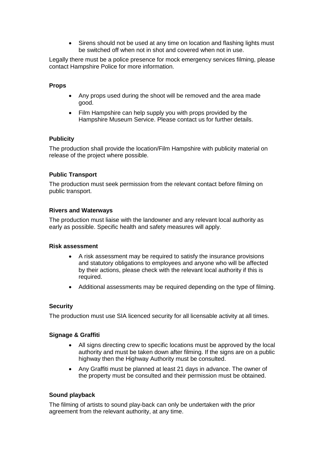• Sirens should not be used at any time on location and flashing lights must be switched off when not in shot and covered when not in use.

Legally there must be a police presence for mock emergency services filming, please contact Hampshire Police for more information.

#### **Props**

- Any props used during the shoot will be removed and the area made good.
- Film Hampshire can help supply you with props provided by the Hampshire Museum Service. Please contact us for further details.

#### **Publicity**

The production shall provide the location/Film Hampshire with publicity material on release of the project where possible.

#### **Public Transport**

The production must seek permission from the relevant contact before filming on public transport.

#### **Rivers and Waterways**

The production must liaise with the landowner and any relevant local authority as early as possible. Specific health and safety measures will apply.

#### **Risk assessment**

- A risk assessment may be required to satisfy the insurance provisions and statutory obligations to employees and anyone who will be affected by their actions, please check with the relevant local authority if this is required.
- Additional assessments may be required depending on the type of filming.

#### **Security**

The production must use SIA licenced security for all licensable activity at all times.

#### **Signage & Graffiti**

- All signs directing crew to specific locations must be approved by the local authority and must be taken down after filming. If the signs are on a public highway then the Highway Authority must be consulted.
- Any Graffiti must be planned at least 21 days in advance. The owner of the property must be consulted and their permission must be obtained.

#### **Sound playback**

The filming of artists to sound play-back can only be undertaken with the prior agreement from the relevant authority, at any time.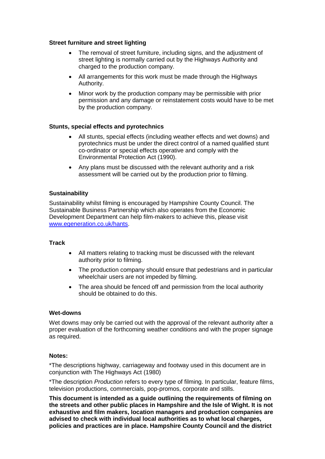#### **Street furniture and street lighting**

- The removal of street furniture, including signs, and the adjustment of street lighting is normally carried out by the Highways Authority and charged to the production company.
- All arrangements for this work must be made through the Highways Authority.
- Minor work by the production company may be permissible with prior permission and any damage or reinstatement costs would have to be met by the production company.

#### **Stunts, special effects and pyrotechnics**

- All stunts, special effects (including weather effects and wet downs) and pyrotechnics must be under the direct control of a named qualified stunt co-ordinator or special effects operative and comply with the Environmental Protection Act (1990).
- Any plans must be discussed with the relevant authority and a risk assessment will be carried out by the production prior to filming.

#### **Sustainability**

Sustainability whilst filming is encouraged by Hampshire County Council. The Sustainable Business Partnership which also operates from the Economic Development Department can help film-makers to achieve this, please visit [www.egeneration.co.uk/hants.](http://www.egeneration.co.uk/hants)

#### **Track**

- All matters relating to tracking must be discussed with the relevant authority prior to filming.
- The production company should ensure that pedestrians and in particular wheelchair users are not impeded by filming.
- The area should be fenced off and permission from the local authority should be obtained to do this.

#### **Wet-downs**

Wet downs may only be carried out with the approval of the relevant authority after a proper evaluation of the forthcoming weather conditions and with the proper signage as required.

#### **Notes:**

\*The descriptions highway, carriageway and footway used in this document are in conjunction with The Highways Act (1980)

\*The description *Production* refers to every type of filming. In particular, feature films, television productions, commercials, pop-promos, corporate and stills.

**This document is intended as a guide outlining the requirements of filming on the streets and other public places in Hampshire and the Isle of Wight. It is not exhaustive and film makers, location managers and production companies are advised to check with individual local authorities as to what local charges, policies and practices are in place. Hampshire County Council and the district**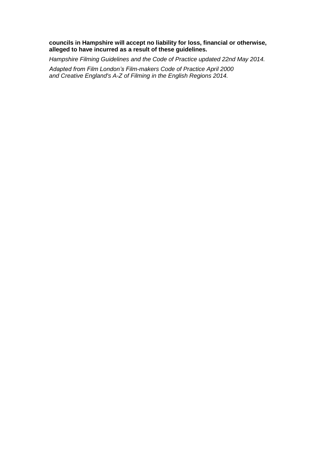#### **councils in Hampshire will accept no liability for loss, financial or otherwise, alleged to have incurred as a result of these guidelines.**

*Hampshire Filming Guidelines and the Code of Practice updated 22nd May 2014.*

*Adapted from Film London's Film-makers Code of Practice April 2000 and Creative England's A-Z of Filming in the English Regions 2014.*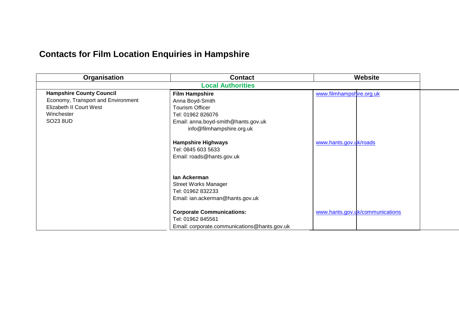# **Contacts for Film Location Enquiries in Hampshire**

| Organisation                       | <b>Contact</b>                               |                          | <b>Website</b>                  |  |
|------------------------------------|----------------------------------------------|--------------------------|---------------------------------|--|
| <b>Local Authorities</b>           |                                              |                          |                                 |  |
| <b>Hampshire County Council</b>    | <b>Film Hampshire</b>                        | www.filmhampshire.org.uk |                                 |  |
| Economy, Transport and Environment | Anna Boyd-Smith                              |                          |                                 |  |
| Elizabeth II Court West            | <b>Tourism Officer</b>                       |                          |                                 |  |
| Winchester                         | Tel: 01962 826076                            |                          |                                 |  |
| SO23 8UD                           | Email: anna.boyd-smith@hants.gov.uk          |                          |                                 |  |
|                                    | info@filmhampshire.org.uk                    |                          |                                 |  |
|                                    | <b>Hampshire Highways</b>                    | www.hants.gov.uk/roads   |                                 |  |
|                                    | Tel: 0845 603 5633                           |                          |                                 |  |
|                                    | Email: roads@hants.gov.uk                    |                          |                                 |  |
|                                    |                                              |                          |                                 |  |
|                                    | lan Ackerman                                 |                          |                                 |  |
|                                    | <b>Street Works Manager</b>                  |                          |                                 |  |
|                                    | Tel: 01962 832233                            |                          |                                 |  |
|                                    | Email: ian.ackerman@hants.gov.uk             |                          |                                 |  |
|                                    |                                              |                          |                                 |  |
|                                    | <b>Corporate Communications:</b>             |                          | www.hants.gov.uk/communications |  |
|                                    | Tel: 01962 845561                            |                          |                                 |  |
|                                    | Email: corporate.communications@hants.gov.uk |                          |                                 |  |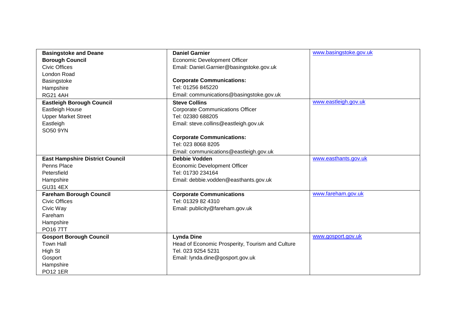| <b>Basingstoke and Deane</b>           | <b>Daniel Garnier</b>                            | www.basingstoke.gov.uk |
|----------------------------------------|--------------------------------------------------|------------------------|
| <b>Borough Council</b>                 | <b>Economic Development Officer</b>              |                        |
| <b>Civic Offices</b>                   | Email: Daniel.Garnier@basingstoke.gov.uk         |                        |
| <b>London Road</b>                     |                                                  |                        |
| Basingstoke                            | <b>Corporate Communications:</b>                 |                        |
| Hampshire                              | Tel: 01256 845220                                |                        |
| <b>RG21 4AH</b>                        | Email: communications@basingstoke.gov.uk         |                        |
| <b>Eastleigh Borough Council</b>       | <b>Steve Collins</b>                             | www.eastleigh.gov.uk   |
| Eastleigh House                        | <b>Corporate Communications Officer</b>          |                        |
| <b>Upper Market Street</b>             | Tel: 02380 688205                                |                        |
| Eastleigh                              | Email: steve.collins@eastleigh.gov.uk            |                        |
| SO50 9YN                               |                                                  |                        |
|                                        | <b>Corporate Communications:</b>                 |                        |
|                                        | Tel: 023 8068 8205                               |                        |
|                                        | Email: communications@eastleigh.gov.uk           |                        |
| <b>East Hampshire District Council</b> | <b>Debbie Vodden</b>                             | www.easthants.gov.uk   |
| Penns Place                            | <b>Economic Development Officer</b>              |                        |
| Petersfield                            | Tel: 01730 234164                                |                        |
| Hampshire                              | Email: debbie.vodden@easthants.gov.uk            |                        |
| <b>GU31 4EX</b>                        |                                                  |                        |
| <b>Fareham Borough Council</b>         | <b>Corporate Communications</b>                  | www.fareham.gov.uk     |
| <b>Civic Offices</b>                   | Tel: 01329 82 4310                               |                        |
| Civic Way                              | Email: publicity@fareham.gov.uk                  |                        |
| Fareham                                |                                                  |                        |
| Hampshire                              |                                                  |                        |
| <b>PO167TT</b>                         |                                                  |                        |
| <b>Gosport Borough Council</b>         | <b>Lynda Dine</b>                                | www.gosport.gov.uk     |
| <b>Town Hall</b>                       | Head of Economic Prosperity, Tourism and Culture |                        |
| High St                                | Tel. 023 9254 5231                               |                        |
| Gosport                                | Email: lynda.dine@gosport.gov.uk                 |                        |
| Hampshire                              |                                                  |                        |
| <b>PO12 1ER</b>                        |                                                  |                        |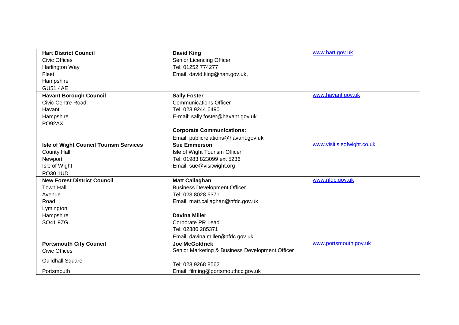| <b>Hart District Council</b>                  | <b>David King</b>                               | www.hart.gov.uk            |
|-----------------------------------------------|-------------------------------------------------|----------------------------|
| <b>Civic Offices</b>                          | Senior Licencing Officer                        |                            |
| Harlington Way                                | Tel: 01252 774277                               |                            |
| Fleet                                         | Email: david.king@hart.gov.uk,                  |                            |
| Hampshire                                     |                                                 |                            |
| <b>GU51 4AE</b>                               |                                                 |                            |
| <b>Havant Borough Council</b>                 | <b>Sally Foster</b>                             | www.havant.gov.uk          |
| <b>Civic Centre Road</b>                      | <b>Communications Officer</b>                   |                            |
| Havant                                        | Tel. 023 9244 6490                              |                            |
| Hampshire                                     | E-mail: sally.foster@havant.gov.uk              |                            |
| PO92AX                                        |                                                 |                            |
|                                               | <b>Corporate Communications:</b>                |                            |
|                                               | Email: publicrelations@havant.gov.uk            |                            |
| <b>Isle of Wight Council Tourism Services</b> | <b>Sue Emmerson</b>                             | www.visitisleofwight.co.uk |
| <b>County Hall</b>                            | Isle of Wight Tourism Officer                   |                            |
| Newport                                       | Tel: 01983 823099 ext 5236                      |                            |
| Isle of Wight                                 | Email: sue@visitwight.org                       |                            |
| PO30 1UD                                      |                                                 |                            |
| <b>New Forest District Council</b>            | <b>Matt Callaghan</b>                           | www.nfdc.gov.uk            |
| <b>Town Hall</b>                              | <b>Business Development Officer</b>             |                            |
| Avenue                                        | Tel: 023 8028 5371                              |                            |
| Road                                          | Email: matt.callaghan@nfdc.gov.uk               |                            |
| Lymington                                     |                                                 |                            |
| Hampshire                                     | <b>Davina Miller</b>                            |                            |
| SO41 9ZG                                      | Corporate PR Lead                               |                            |
|                                               | Tel: 02380 285371                               |                            |
|                                               | Email: davina.miller@nfdc.gov.uk                |                            |
| <b>Portsmouth City Council</b>                | <b>Joe McGoldrick</b>                           | www.portsmouth.gov.uk      |
| <b>Civic Offices</b>                          | Senior Marketing & Business Development Officer |                            |
| <b>Guildhall Square</b>                       |                                                 |                            |
|                                               | Tel: 023 9268 8562                              |                            |
| Portsmouth                                    | Email: filming@portsmouthcc.gov.uk              |                            |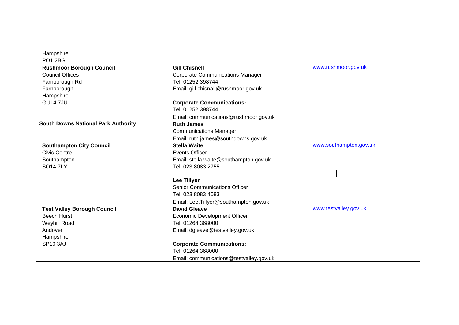| Hampshire                                  |                                         |                        |
|--------------------------------------------|-----------------------------------------|------------------------|
| <b>PO1 2BG</b>                             |                                         |                        |
| <b>Rushmoor Borough Council</b>            | <b>Gill Chisnell</b>                    | www.rushmoor.gov.uk    |
| <b>Council Offices</b>                     | <b>Corporate Communications Manager</b> |                        |
| Farnborough Rd                             | Tel: 01252 398744                       |                        |
| Farnborough                                | Email: gill.chisnall@rushmoor.gov.uk    |                        |
| Hampshire                                  |                                         |                        |
| <b>GU147JU</b>                             | <b>Corporate Communications:</b>        |                        |
|                                            | Tel: 01252 398744                       |                        |
|                                            | Email: communications@rushmoor.gov.uk   |                        |
| <b>South Downs National Park Authority</b> | <b>Ruth James</b>                       |                        |
|                                            | <b>Communications Manager</b>           |                        |
|                                            | Email: ruth.james@southdowns.gov.uk     |                        |
| <b>Southampton City Council</b>            | <b>Stella Waite</b>                     | www.southampton.gov.uk |
| <b>Civic Centre</b>                        | <b>Events Officer</b>                   |                        |
| Southampton                                | Email: stella.waite@southampton.gov.uk  |                        |
| <b>SO147LY</b>                             | Tel: 023 8083 2755                      |                        |
|                                            |                                         |                        |
|                                            | <b>Lee Tillyer</b>                      |                        |
|                                            | <b>Senior Communications Officer</b>    |                        |
|                                            | Tel: 023 8083 4083                      |                        |
|                                            | Email: Lee. Tillyer@southampton.gov.uk  |                        |
| <b>Test Valley Borough Council</b>         | <b>David Gleave</b>                     | www.testvalley.gov.uk  |
| <b>Beech Hurst</b>                         | <b>Economic Development Officer</b>     |                        |
| Weyhill Road                               | Tel: 01264 368000                       |                        |
| Andover                                    | Email: dgleave@testvalley.gov.uk        |                        |
| Hampshire                                  |                                         |                        |
| <b>SP10 3AJ</b>                            | <b>Corporate Communications:</b>        |                        |
|                                            | Tel: 01264 368000                       |                        |
|                                            | Email: communications@testvalley.gov.uk |                        |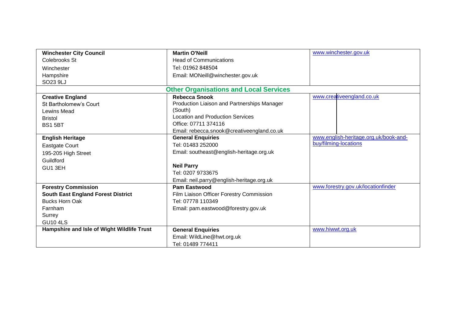| <b>Winchester City Council</b>             | <b>Martin O'Neill</b>                         | www.winchester.gov.uk                 |
|--------------------------------------------|-----------------------------------------------|---------------------------------------|
| Colebrooks St                              | <b>Head of Communications</b>                 |                                       |
| Winchester                                 | Tel: 01962 848504                             |                                       |
| Hampshire                                  | Email: MONeill@winchester.gov.uk              |                                       |
| SO23 9LJ                                   |                                               |                                       |
|                                            | <b>Other Organisations and Local Services</b> |                                       |
| <b>Creative England</b>                    | <b>Rebecca Snook</b>                          | www.creativeengland.co.uk             |
| St Bartholomew's Court                     | Production Liaison and Partnerships Manager   |                                       |
| Lewins Mead                                | (South)                                       |                                       |
| <b>Bristol</b>                             | <b>Location and Production Services</b>       |                                       |
| <b>BS1 5BT</b>                             | Office: 07711 374116                          |                                       |
|                                            | Email: rebecca.snook@creativeengland.co.uk    |                                       |
| <b>English Heritage</b>                    | <b>General Enquiries</b>                      | www.english-heritage.org.uk/book-and- |
| Eastgate Court                             | Tel: 01483 252000                             | buy/filming-locations                 |
| 195-205 High Street                        | Email: southeast@english-heritage.org.uk      |                                       |
| Guildford                                  |                                               |                                       |
| GU1 3EH                                    | <b>Neil Parry</b>                             |                                       |
|                                            | Tel: 0207 9733675                             |                                       |
|                                            | Email: neil.parry@english-heritage.org.uk     |                                       |
| <b>Forestry Commission</b>                 | <b>Pam Eastwood</b>                           | www.forestry.gov.uk/locationfinder    |
| <b>South East England Forest District</b>  | Film Liaison Officer Forestry Commission      |                                       |
| <b>Bucks Horn Oak</b>                      | Tel: 07778 110349                             |                                       |
| Farnham                                    | Email: pam.eastwood@forestry.gov.uk           |                                       |
| Surrey                                     |                                               |                                       |
| <b>GU10 4LS</b>                            |                                               |                                       |
| Hampshire and Isle of Wight Wildlife Trust | <b>General Enquiries</b>                      | www.hiwwt.org.uk                      |
|                                            | Email: WildLine@hwt.org.uk                    |                                       |
|                                            | Tel: 01489 774411                             |                                       |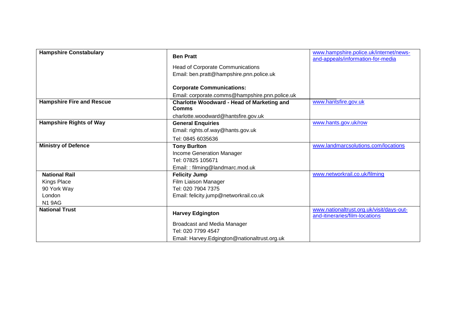| <b>Hampshire Constabulary</b>    | <b>Ben Pratt</b>                                         | www.hampshire.police.uk/internet/news-<br>and-appeals/information-for-media |
|----------------------------------|----------------------------------------------------------|-----------------------------------------------------------------------------|
|                                  | <b>Head of Corporate Communications</b>                  |                                                                             |
|                                  | Email: ben.pratt@hampshire.pnn.police.uk                 |                                                                             |
|                                  |                                                          |                                                                             |
|                                  | <b>Corporate Communications:</b>                         |                                                                             |
|                                  | Email: corporate.comms@hampshire.pnn.police.uk           |                                                                             |
| <b>Hampshire Fire and Rescue</b> | <b>Charlotte Woodward - Head of Marketing and</b>        | www.hantsfire.gov.uk                                                        |
|                                  | <b>Comms</b>                                             |                                                                             |
|                                  | charlotte.woodward@hantsfire.gov.uk                      |                                                                             |
| <b>Hampshire Rights of Way</b>   | <b>General Enquiries</b>                                 | www.hants.gov.uk/row                                                        |
|                                  | Email: rights.of.way@hants.gov.uk                        |                                                                             |
|                                  | Tel: 0845 6035636                                        |                                                                             |
| <b>Ministry of Defence</b>       | <b>Tony Burlton</b>                                      | www.landmarcsolutions.com/locations                                         |
|                                  | Income Generation Manager                                |                                                                             |
|                                  | Tel: 07825 105671                                        |                                                                             |
|                                  | Email:: filming@landmarc.mod.uk                          |                                                                             |
| <b>National Rail</b>             | <b>Felicity Jump</b>                                     | www.networkrail.co.uk/filming                                               |
| Kings Place                      | Film Liaison Manager                                     |                                                                             |
| 90 York Way                      | Tel: 020 7904 7375                                       |                                                                             |
| London                           | Email: felicity.jump@networkrail.co.uk                   |                                                                             |
| <b>N1 9AG</b>                    |                                                          |                                                                             |
| <b>National Trust</b>            | <b>Harvey Edgington</b>                                  | www.nationaltrust.org.uk/visit/days-out-<br>and-itineraries/film-locations  |
|                                  |                                                          |                                                                             |
|                                  | <b>Broadcast and Media Manager</b><br>Tel: 020 7799 4547 |                                                                             |
|                                  |                                                          |                                                                             |
|                                  | Email: Harvey.Edgington@nationaltrust.org.uk             |                                                                             |